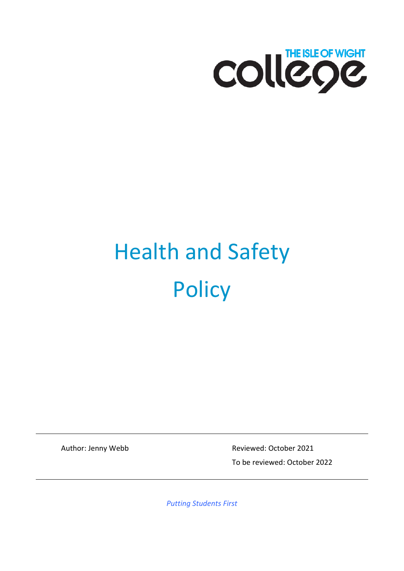

# Health and Safety **Policy**

Author: Jenny Webb Reviewed: October 2021 To be reviewed: October 2022

*Putting Students First*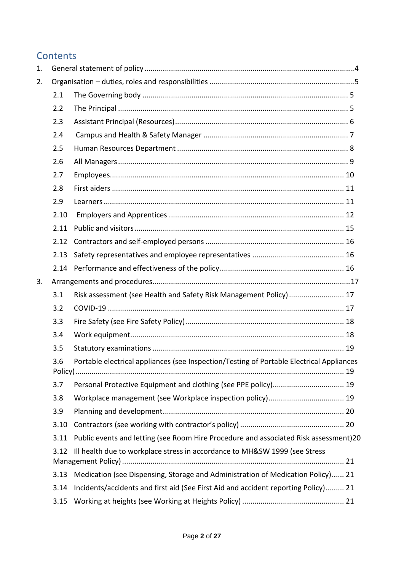# **Contents**

| 1. |      |                                                                                          |  |  |
|----|------|------------------------------------------------------------------------------------------|--|--|
| 2. |      |                                                                                          |  |  |
|    | 2.1  |                                                                                          |  |  |
|    | 2.2  |                                                                                          |  |  |
|    | 2.3  |                                                                                          |  |  |
|    | 2.4  |                                                                                          |  |  |
|    | 2.5  |                                                                                          |  |  |
|    | 2.6  |                                                                                          |  |  |
|    | 2.7  |                                                                                          |  |  |
|    | 2.8  |                                                                                          |  |  |
|    | 2.9  |                                                                                          |  |  |
|    | 2.10 |                                                                                          |  |  |
|    | 2.11 |                                                                                          |  |  |
|    | 2.12 |                                                                                          |  |  |
|    | 2.13 |                                                                                          |  |  |
|    | 2.14 |                                                                                          |  |  |
| 3. |      |                                                                                          |  |  |
|    | 3.1  | Risk assessment (see Health and Safety Risk Management Policy)  17                       |  |  |
|    | 3.2  |                                                                                          |  |  |
|    | 3.3  |                                                                                          |  |  |
|    | 3.4  |                                                                                          |  |  |
|    | 3.5  |                                                                                          |  |  |
|    | 3.6  | Portable electrical appliances (see Inspection/Testing of Portable Electrical Appliances |  |  |
|    | 3.7  | Personal Protective Equipment and clothing (see PPE policy) 19                           |  |  |
|    | 3.8  |                                                                                          |  |  |
|    | 3.9  |                                                                                          |  |  |
|    | 3.10 |                                                                                          |  |  |
|    | 3.11 | Public events and letting (see Room Hire Procedure and associated Risk assessment)20     |  |  |
|    | 3.12 | Ill health due to workplace stress in accordance to MH&SW 1999 (see Stress               |  |  |
|    | 3.13 | Medication (see Dispensing, Storage and Administration of Medication Policy) 21          |  |  |
|    | 3.14 | Incidents/accidents and first aid (See First Aid and accident reporting Policy) 21       |  |  |
|    | 3.15 |                                                                                          |  |  |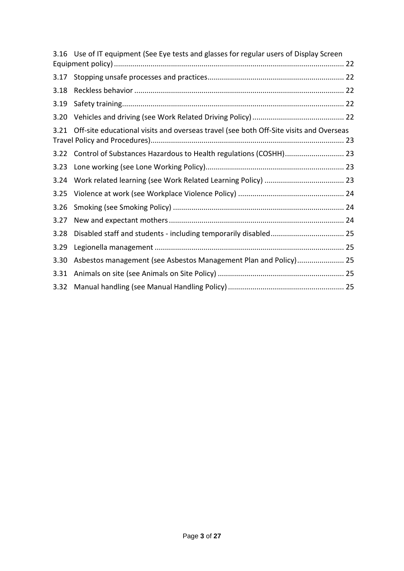|      | 3.16 Use of IT equipment (See Eye tests and glasses for regular users of Display Screen |  |
|------|-----------------------------------------------------------------------------------------|--|
| 3.17 |                                                                                         |  |
| 3.18 |                                                                                         |  |
| 3.19 |                                                                                         |  |
| 3.20 |                                                                                         |  |
| 3.21 | Off-site educational visits and overseas travel (see both Off-Site visits and Overseas  |  |
| 3.22 |                                                                                         |  |
| 3.23 |                                                                                         |  |
| 3.24 |                                                                                         |  |
| 3.25 |                                                                                         |  |
| 3.26 |                                                                                         |  |
| 3.27 |                                                                                         |  |
| 3.28 |                                                                                         |  |
| 3.29 |                                                                                         |  |
| 3.30 | Asbestos management (see Asbestos Management Plan and Policy) 25                        |  |
| 3.31 |                                                                                         |  |
| 3.32 |                                                                                         |  |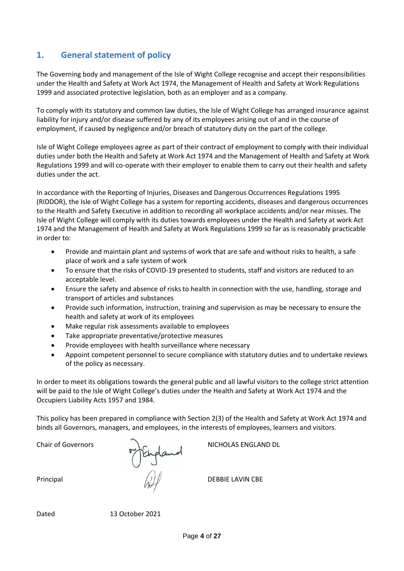# <span id="page-3-0"></span>**1. General statement of policy**

The Governing body and management of the Isle of Wight College recognise and accept their responsibilities under the Health and Safety at Work Act 1974, the Management of Health and Safety at Work Regulations 1999 and associated protective legislation, both as an employer and as a company.

To comply with its statutory and common law duties, the Isle of Wight College has arranged insurance against liability for injury and/or disease suffered by any of its employees arising out of and in the course of employment, if caused by negligence and/or breach of statutory duty on the part of the college.

Isle of Wight College employees agree as part of their contract of employment to comply with their individual duties under both the Health and Safety at Work Act 1974 and the Management of Health and Safety at Work Regulations 1999 and will co-operate with their employer to enable them to carry out their health and safety duties under the act.

In accordance with the Reporting of Injuries, Diseases and Dangerous Occurrences Regulations 1995 (RIDDOR), the Isle of Wight College has a system for reporting accidents, diseases and dangerous occurrences to the Health and Safety Executive in addition to recording all workplace accidents and/or near misses. The Isle of Wight College will comply with its duties towards employees under the Health and Safety at work Act 1974 and the Management of Health and Safety at Work Regulations 1999 so far as is reasonably practicable in order to:

- Provide and maintain plant and systems of work that are safe and without risks to health, a safe place of work and a safe system of work
- To ensure that the risks of COVID-19 presented to students, staff and visitors are reduced to an acceptable level.
- Ensure the safety and absence of risks to health in connection with the use, handling, storage and transport of articles and substances
- Provide such information, instruction, training and supervision as may be necessary to ensure the health and safety at work of its employees
- Make regular risk assessments available to employees
- Take appropriate preventative/protective measures
- Provide employees with health surveillance where necessary
- Appoint competent personnel to secure compliance with statutory duties and to undertake reviews of the policy as necessary.

In order to meet its obligations towards the general public and all lawful visitors to the college strict attention will be paid to the Isle of Wight College's duties under the Health and Safety at Work Act 1974 and the Occupiers Liability Acts 1957 and 1984.

This policy has been prepared in compliance with Section 2(3) of the Health and Safety at Work Act 1974 and binds all Governors, managers, and employees, in the interests of employees, learners and visitors.

Principal  $\langle N \rangle$  DEBBIE LAVIN CBE

Chair of Governors N<sub>G</sub> NICHOLAS ENGLAND DL

Dated 13 October 2021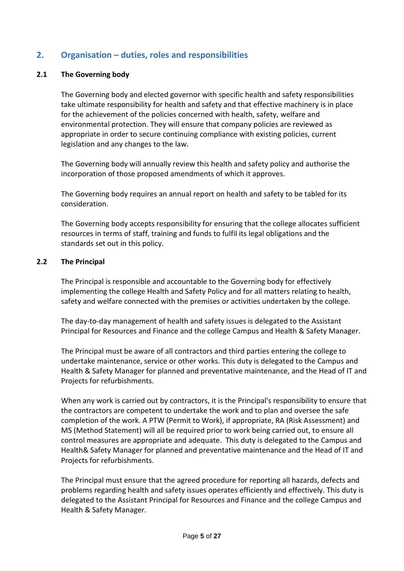# <span id="page-4-0"></span>**2. Organisation – duties, roles and responsibilities**

#### <span id="page-4-1"></span>**2.1 The Governing body**

The Governing body and elected governor with specific health and safety responsibilities take ultimate responsibility for health and safety and that effective machinery is in place for the achievement of the policies concerned with health, safety, welfare and environmental protection. They will ensure that company policies are reviewed as appropriate in order to secure continuing compliance with existing policies, current legislation and any changes to the law.

The Governing body will annually review this health and safety policy and authorise the incorporation of those proposed amendments of which it approves.

The Governing body requires an annual report on health and safety to be tabled for its consideration.

The Governing body accepts responsibility for ensuring that the college allocates sufficient resources in terms of staff, training and funds to fulfil its legal obligations and the standards set out in this policy.

#### <span id="page-4-2"></span>**2.2 The Principal**

The Principal is responsible and accountable to the Governing body for effectively implementing the college Health and Safety Policy and for all matters relating to health, safety and welfare connected with the premises or activities undertaken by the college.

The day-to-day management of health and safety issues is delegated to the Assistant Principal for Resources and Finance and the college Campus and Health & Safety Manager.

The Principal must be aware of all contractors and third parties entering the college to undertake maintenance, service or other works. This duty is delegated to the Campus and Health & Safety Manager for planned and preventative maintenance, and the Head of IT and Projects for refurbishments.

When any work is carried out by contractors, it is the Principal's responsibility to ensure that the contractors are competent to undertake the work and to plan and oversee the safe completion of the work. A PTW (Permit to Work), if appropriate, RA (Risk Assessment) and MS (Method Statement) will all be required prior to work being carried out, to ensure all control measures are appropriate and adequate. This duty is delegated to the Campus and Health& Safety Manager for planned and preventative maintenance and the Head of IT and Projects for refurbishments.

The Principal must ensure that the agreed procedure for reporting all hazards, defects and problems regarding health and safety issues operates efficiently and effectively. This duty is delegated to the Assistant Principal for Resources and Finance and the college Campus and Health & Safety Manager.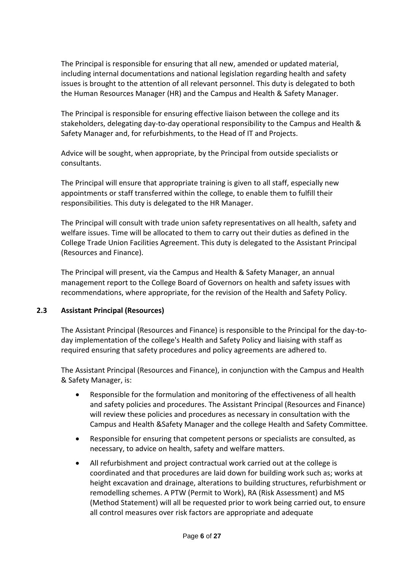The Principal is responsible for ensuring that all new, amended or updated material, including internal documentations and national legislation regarding health and safety issues is brought to the attention of all relevant personnel. This duty is delegated to both the Human Resources Manager (HR) and the Campus and Health & Safety Manager.

The Principal is responsible for ensuring effective liaison between the college and its stakeholders, delegating day-to-day operational responsibility to the Campus and Health & Safety Manager and, for refurbishments, to the Head of IT and Projects.

Advice will be sought, when appropriate, by the Principal from outside specialists or consultants.

The Principal will ensure that appropriate training is given to all staff, especially new appointments or staff transferred within the college, to enable them to fulfill their responsibilities. This duty is delegated to the HR Manager.

The Principal will consult with trade union safety representatives on all health, safety and welfare issues. Time will be allocated to them to carry out their duties as defined in the College Trade Union Facilities Agreement. This duty is delegated to the Assistant Principal (Resources and Finance).

The Principal will present, via the Campus and Health & Safety Manager, an annual management report to the College Board of Governors on health and safety issues with recommendations, where appropriate, for the revision of the Health and Safety Policy.

# <span id="page-5-0"></span>**2.3 Assistant Principal (Resources)**

The Assistant Principal (Resources and Finance) is responsible to the Principal for the day-today implementation of the college's Health and Safety Policy and liaising with staff as required ensuring that safety procedures and policy agreements are adhered to.

The Assistant Principal (Resources and Finance), in conjunction with the Campus and Health & Safety Manager, is:

- Responsible for the formulation and monitoring of the effectiveness of all health and safety policies and procedures. The Assistant Principal (Resources and Finance) will review these policies and procedures as necessary in consultation with the Campus and Health &Safety Manager and the college Health and Safety Committee.
- Responsible for ensuring that competent persons or specialists are consulted, as necessary, to advice on health, safety and welfare matters.
- All refurbishment and project contractual work carried out at the college is coordinated and that procedures are laid down for building work such as; works at height excavation and drainage, alterations to building structures, refurbishment or remodelling schemes. A PTW (Permit to Work), RA (Risk Assessment) and MS (Method Statement) will all be requested prior to work being carried out, to ensure all control measures over risk factors are appropriate and adequate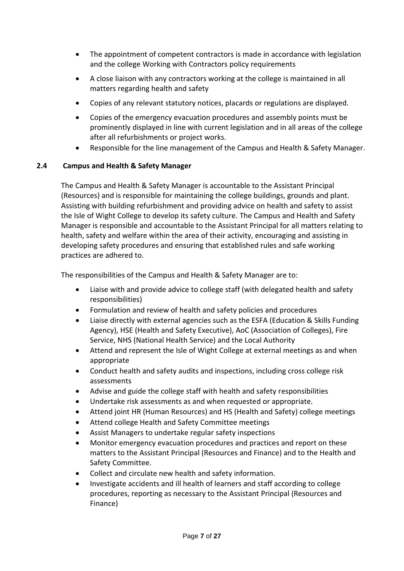- The appointment of competent contractors is made in accordance with legislation and the college Working with Contractors policy requirements
- A close liaison with any contractors working at the college is maintained in all matters regarding health and safety
- Copies of any relevant statutory notices, placards or regulations are displayed.
- Copies of the emergency evacuation procedures and assembly points must be prominently displayed in line with current legislation and in all areas of the college after all refurbishments or project works.
- Responsible for the line management of the Campus and Health & Safety Manager.

# <span id="page-6-0"></span>**2.4 Campus and Health & Safety Manager**

The Campus and Health & Safety Manager is accountable to the Assistant Principal (Resources) and is responsible for maintaining the college buildings, grounds and plant. Assisting with building refurbishment and providing advice on health and safety to assist the Isle of Wight College to develop its safety culture. The Campus and Health and Safety Manager is responsible and accountable to the Assistant Principal for all matters relating to health, safety and welfare within the area of their activity, encouraging and assisting in developing safety procedures and ensuring that established rules and safe working practices are adhered to.

The responsibilities of the Campus and Health & Safety Manager are to:

- Liaise with and provide advice to college staff (with delegated health and safety responsibilities)
- Formulation and review of health and safety policies and procedures
- Liaise directly with external agencies such as the ESFA (Education & Skills Funding Agency), HSE (Health and Safety Executive), AoC (Association of Colleges), Fire Service, NHS (National Health Service) and the Local Authority
- Attend and represent the Isle of Wight College at external meetings as and when appropriate
- Conduct health and safety audits and inspections, including cross college risk assessments
- Advise and guide the college staff with health and safety responsibilities
- Undertake risk assessments as and when requested or appropriate.
- Attend joint HR (Human Resources) and HS (Health and Safety) college meetings
- Attend college Health and Safety Committee meetings
- Assist Managers to undertake regular safety inspections
- Monitor emergency evacuation procedures and practices and report on these matters to the Assistant Principal (Resources and Finance) and to the Health and Safety Committee.
- Collect and circulate new health and safety information.
- Investigate accidents and ill health of learners and staff according to college procedures, reporting as necessary to the Assistant Principal (Resources and Finance)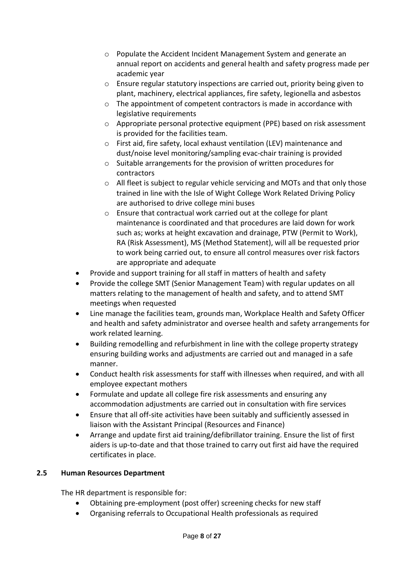- o Populate the Accident Incident Management System and generate an annual report on accidents and general health and safety progress made per academic year
- o Ensure regular statutory inspections are carried out, priority being given to plant, machinery, electrical appliances, fire safety, legionella and asbestos
- o The appointment of competent contractors is made in accordance with legislative requirements
- $\circ$  Appropriate personal protective equipment (PPE) based on risk assessment is provided for the facilities team.
- o First aid, fire safety, local exhaust ventilation (LEV) maintenance and dust/noise level monitoring/sampling evac-chair training is provided
- o Suitable arrangements for the provision of written procedures for contractors
- o All fleet is subject to regular vehicle servicing and MOTs and that only those trained in line with the Isle of Wight College Work Related Driving Policy are authorised to drive college mini buses
- o Ensure that contractual work carried out at the college for plant maintenance is coordinated and that procedures are laid down for work such as; works at height excavation and drainage, PTW (Permit to Work), RA (Risk Assessment), MS (Method Statement), will all be requested prior to work being carried out, to ensure all control measures over risk factors are appropriate and adequate
- Provide and support training for all staff in matters of health and safety
- Provide the college SMT (Senior Management Team) with regular updates on all matters relating to the management of health and safety, and to attend SMT meetings when requested
- Line manage the facilities team, grounds man, Workplace Health and Safety Officer and health and safety administrator and oversee health and safety arrangements for work related learning.
- Building remodelling and refurbishment in line with the college property strategy ensuring building works and adjustments are carried out and managed in a safe manner.
- Conduct health risk assessments for staff with illnesses when required, and with all employee expectant mothers
- Formulate and update all college fire risk assessments and ensuring any accommodation adjustments are carried out in consultation with fire services
- Ensure that all off-site activities have been suitably and sufficiently assessed in liaison with the Assistant Principal (Resources and Finance)
- Arrange and update first aid training/defibrillator training. Ensure the list of first aiders is up-to-date and that those trained to carry out first aid have the required certificates in place.

# <span id="page-7-0"></span>**2.5 Human Resources Department**

The HR department is responsible for:

- Obtaining pre-employment (post offer) screening checks for new staff
- Organising referrals to Occupational Health professionals as required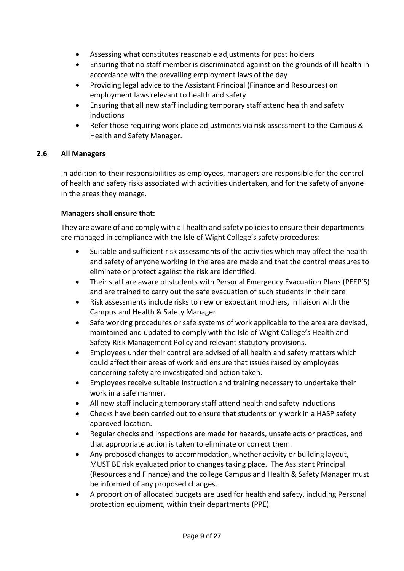- Assessing what constitutes reasonable adjustments for post holders
- Ensuring that no staff member is discriminated against on the grounds of ill health in accordance with the prevailing employment laws of the day
- Providing legal advice to the Assistant Principal (Finance and Resources) on employment laws relevant to health and safety
- Ensuring that all new staff including temporary staff attend health and safety inductions
- Refer those requiring work place adjustments via risk assessment to the Campus & Health and Safety Manager.

# <span id="page-8-0"></span>**2.6 All Managers**

In addition to their responsibilities as employees, managers are responsible for the control of health and safety risks associated with activities undertaken, and for the safety of anyone in the areas they manage.

# **Managers shall ensure that:**

They are aware of and comply with all health and safety policies to ensure their departments are managed in compliance with the Isle of Wight College's safety procedures:

- Suitable and sufficient risk assessments of the activities which may affect the health and safety of anyone working in the area are made and that the control measures to eliminate or protect against the risk are identified.
- Their staff are aware of students with Personal Emergency Evacuation Plans (PEEP'S) and are trained to carry out the safe evacuation of such students in their care
- Risk assessments include risks to new or expectant mothers, in liaison with the Campus and Health & Safety Manager
- Safe working procedures or safe systems of work applicable to the area are devised, maintained and updated to comply with the Isle of Wight College's Health and Safety Risk Management Policy and relevant statutory provisions.
- Employees under their control are advised of all health and safety matters which could affect their areas of work and ensure that issues raised by employees concerning safety are investigated and action taken.
- Employees receive suitable instruction and training necessary to undertake their work in a safe manner.
- All new staff including temporary staff attend health and safety inductions
- Checks have been carried out to ensure that students only work in a HASP safety approved location.
- Regular checks and inspections are made for hazards, unsafe acts or practices, and that appropriate action is taken to eliminate or correct them.
- Any proposed changes to accommodation, whether activity or building layout, MUST BE risk evaluated prior to changes taking place. The Assistant Principal (Resources and Finance) and the college Campus and Health & Safety Manager must be informed of any proposed changes.
- A proportion of allocated budgets are used for health and safety, including Personal protection equipment, within their departments (PPE).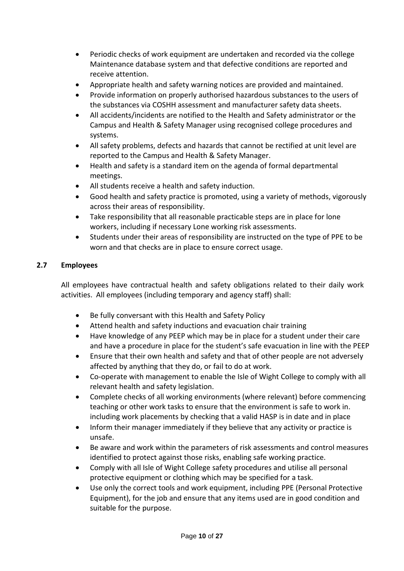- Periodic checks of work equipment are undertaken and recorded via the college Maintenance database system and that defective conditions are reported and receive attention.
- Appropriate health and safety warning notices are provided and maintained.
- Provide information on properly authorised hazardous substances to the users of the substances via COSHH assessment and manufacturer safety data sheets.
- All accidents/incidents are notified to the Health and Safety administrator or the Campus and Health & Safety Manager using recognised college procedures and systems.
- All safety problems, defects and hazards that cannot be rectified at unit level are reported to the Campus and Health & Safety Manager.
- Health and safety is a standard item on the agenda of formal departmental meetings.
- All students receive a health and safety induction.
- Good health and safety practice is promoted, using a variety of methods, vigorously across their areas of responsibility.
- Take responsibility that all reasonable practicable steps are in place for lone workers, including if necessary Lone working risk assessments.
- Students under their areas of responsibility are instructed on the type of PPE to be worn and that checks are in place to ensure correct usage.

# <span id="page-9-0"></span>**2.7 Employees**

All employees have contractual health and safety obligations related to their daily work activities. All employees (including temporary and agency staff) shall:

- Be fully conversant with this Health and Safety Policy
- Attend health and safety inductions and evacuation chair training
- Have knowledge of any PEEP which may be in place for a student under their care and have a procedure in place for the student's safe evacuation in line with the PEEP
- Ensure that their own health and safety and that of other people are not adversely affected by anything that they do, or fail to do at work.
- Co-operate with management to enable the Isle of Wight College to comply with all relevant health and safety legislation.
- Complete checks of all working environments (where relevant) before commencing teaching or other work tasks to ensure that the environment is safe to work in. including work placements by checking that a valid HASP is in date and in place
- Inform their manager immediately if they believe that any activity or practice is unsafe.
- Be aware and work within the parameters of risk assessments and control measures identified to protect against those risks, enabling safe working practice.
- Comply with all Isle of Wight College safety procedures and utilise all personal protective equipment or clothing which may be specified for a task.
- Use only the correct tools and work equipment, including PPE (Personal Protective Equipment), for the job and ensure that any items used are in good condition and suitable for the purpose.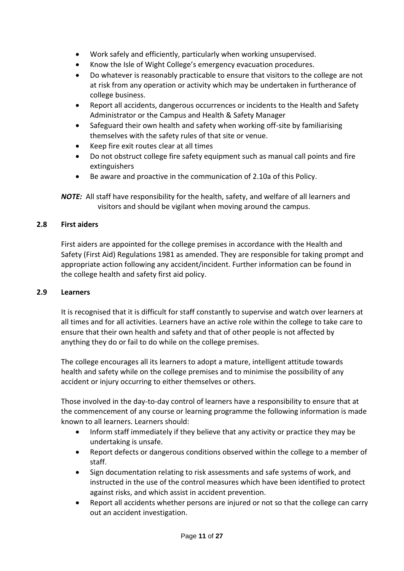- Work safely and efficiently, particularly when working unsupervised.
- Know the Isle of Wight College's emergency evacuation procedures.
- Do whatever is reasonably practicable to ensure that visitors to the college are not at risk from any operation or activity which may be undertaken in furtherance of college business.
- Report all accidents, dangerous occurrences or incidents to the Health and Safety Administrator or the Campus and Health & Safety Manager
- Safeguard their own health and safety when working off-site by familiarising themselves with the safety rules of that site or venue.
- Keep fire exit routes clear at all times
- Do not obstruct college fire safety equipment such as manual call points and fire extinguishers
- Be aware and proactive in the communication of 2.10a of this Policy.

*NOTE:* All staff have responsibility for the health, safety, and welfare of all learners and visitors and should be vigilant when moving around the campus.

#### <span id="page-10-0"></span>**2.8 First aiders**

First aiders are appointed for the college premises in accordance with the Health and Safety (First Aid) Regulations 1981 as amended. They are responsible for taking prompt and appropriate action following any accident/incident. Further information can be found in the college health and safety first aid policy.

#### <span id="page-10-1"></span>**2.9 Learners**

It is recognised that it is difficult for staff constantly to supervise and watch over learners at all times and for all activities. Learners have an active role within the college to take care to ensure that their own health and safety and that of other people is not affected by anything they do or fail to do while on the college premises.

The college encourages all its learners to adopt a mature, intelligent attitude towards health and safety while on the college premises and to minimise the possibility of any accident or injury occurring to either themselves or others.

Those involved in the day-to-day control of learners have a responsibility to ensure that at the commencement of any course or learning programme the following information is made known to all learners. Learners should:

- Inform staff immediately if they believe that any activity or practice they may be undertaking is unsafe.
- Report defects or dangerous conditions observed within the college to a member of staff.
- Sign documentation relating to risk assessments and safe systems of work, and instructed in the use of the control measures which have been identified to protect against risks, and which assist in accident prevention.
- Report all accidents whether persons are injured or not so that the college can carry out an accident investigation.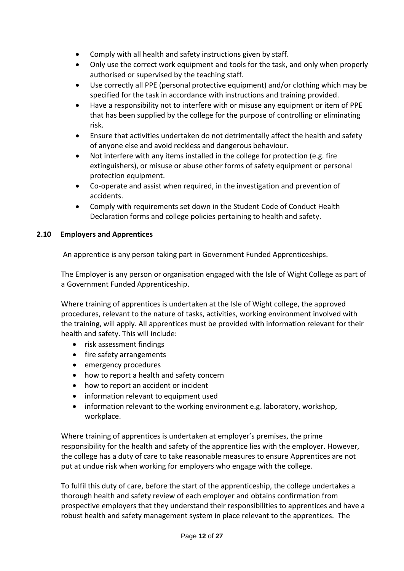- Comply with all health and safety instructions given by staff.
- Only use the correct work equipment and tools for the task, and only when properly authorised or supervised by the teaching staff.
- Use correctly all PPE (personal protective equipment) and/or clothing which may be specified for the task in accordance with instructions and training provided.
- Have a responsibility not to interfere with or misuse any equipment or item of PPE that has been supplied by the college for the purpose of controlling or eliminating risk.
- Ensure that activities undertaken do not detrimentally affect the health and safety of anyone else and avoid reckless and dangerous behaviour.
- Not interfere with any items installed in the college for protection (e.g. fire extinguishers), or misuse or abuse other forms of safety equipment or personal protection equipment.
- Co-operate and assist when required, in the investigation and prevention of accidents.
- Comply with requirements set down in the Student Code of Conduct Health Declaration forms and college policies pertaining to health and safety.

# <span id="page-11-0"></span>**2.10 Employers and Apprentices**

An apprentice is any person taking part in Government Funded Apprenticeships.

The Employer is any person or organisation engaged with the Isle of Wight College as part of a Government Funded Apprenticeship.

Where training of apprentices is undertaken at the Isle of Wight college, the approved procedures, relevant to the nature of tasks, activities, working environment involved with the training, will apply. All apprentices must be provided with information relevant for their health and safety. This will include:

- risk assessment findings
- fire safety arrangements
- emergency procedures
- how to report a health and safety concern
- how to report an accident or incident
- information relevant to equipment used
- information relevant to the working environment e.g. laboratory, workshop, workplace.

Where training of apprentices is undertaken at employer's premises, the prime responsibility for the health and safety of the apprentice lies with the employer. However, the college has a duty of care to take reasonable measures to ensure Apprentices are not put at undue risk when working for employers who engage with the college.

To fulfil this duty of care, before the start of the apprenticeship, the college undertakes a thorough health and safety review of each employer and obtains confirmation from prospective employers that they understand their responsibilities to apprentices and have a robust health and safety management system in place relevant to the apprentices. The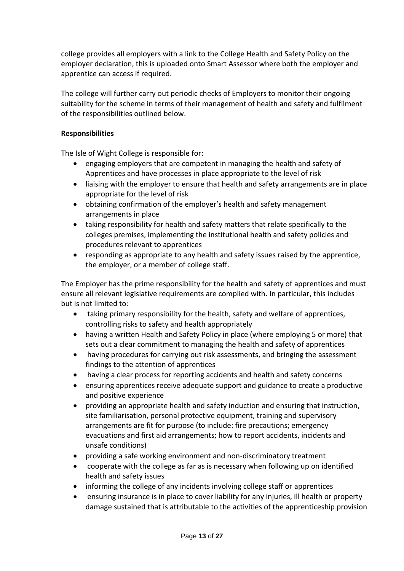college provides all employers with a link to the College Health and Safety Policy on the employer declaration, this is uploaded onto Smart Assessor where both the employer and apprentice can access if required.

The college will further carry out periodic checks of Employers to monitor their ongoing suitability for the scheme in terms of their management of health and safety and fulfilment of the responsibilities outlined below.

## **Responsibilities**

The Isle of Wight College is responsible for:

- engaging employers that are competent in managing the health and safety of Apprentices and have processes in place appropriate to the level of risk
- liaising with the employer to ensure that health and safety arrangements are in place appropriate for the level of risk
- obtaining confirmation of the employer's health and safety management arrangements in place
- taking responsibility for health and safety matters that relate specifically to the colleges premises, implementing the institutional health and safety policies and procedures relevant to apprentices
- responding as appropriate to any health and safety issues raised by the apprentice, the employer, or a member of college staff.

The Employer has the prime responsibility for the health and safety of apprentices and must ensure all relevant legislative requirements are complied with. In particular, this includes but is not limited to:

- taking primary responsibility for the health, safety and welfare of apprentices, controlling risks to safety and health appropriately
- having a written Health and Safety Policy in place (where employing 5 or more) that sets out a clear commitment to managing the health and safety of apprentices
- having procedures for carrying out risk assessments, and bringing the assessment findings to the attention of apprentices
- having a clear process for reporting accidents and health and safety concerns
- ensuring apprentices receive adequate support and guidance to create a productive and positive experience
- providing an appropriate health and safety induction and ensuring that instruction, site familiarisation, personal protective equipment, training and supervisory arrangements are fit for purpose (to include: fire precautions; emergency evacuations and first aid arrangements; how to report accidents, incidents and unsafe conditions)
- providing a safe working environment and non-discriminatory treatment
- cooperate with the college as far as is necessary when following up on identified health and safety issues
- informing the college of any incidents involving college staff or apprentices
- ensuring insurance is in place to cover liability for any injuries, ill health or property damage sustained that is attributable to the activities of the apprenticeship provision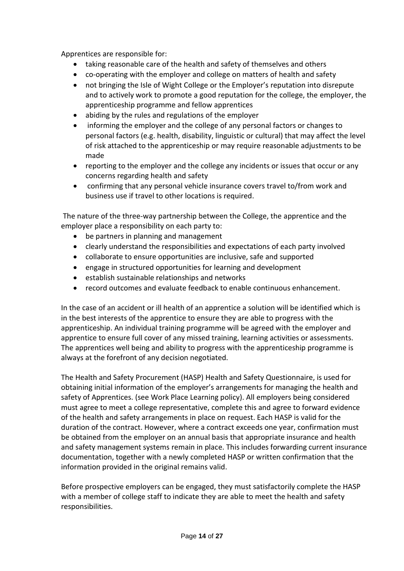Apprentices are responsible for:

- taking reasonable care of the health and safety of themselves and others
- co-operating with the employer and college on matters of health and safety
- not bringing the Isle of Wight College or the Employer's reputation into disrepute and to actively work to promote a good reputation for the college, the employer, the apprenticeship programme and fellow apprentices
- abiding by the rules and regulations of the employer
- informing the employer and the college of any personal factors or changes to personal factors (e.g. health, disability, linguistic or cultural) that may affect the level of risk attached to the apprenticeship or may require reasonable adjustments to be made
- reporting to the employer and the college any incidents or issues that occur or any concerns regarding health and safety
- confirming that any personal vehicle insurance covers travel to/from work and business use if travel to other locations is required.

The nature of the three-way partnership between the College, the apprentice and the employer place a responsibility on each party to:

- be partners in planning and management
- clearly understand the responsibilities and expectations of each party involved
- collaborate to ensure opportunities are inclusive, safe and supported
- engage in structured opportunities for learning and development
- establish sustainable relationships and networks
- record outcomes and evaluate feedback to enable continuous enhancement.

In the case of an accident or ill health of an apprentice a solution will be identified which is in the best interests of the apprentice to ensure they are able to progress with the apprenticeship. An individual training programme will be agreed with the employer and apprentice to ensure full cover of any missed training, learning activities or assessments. The apprentices well being and ability to progress with the apprenticeship programme is always at the forefront of any decision negotiated.

The Health and Safety Procurement (HASP) Health and Safety Questionnaire, is used for obtaining initial information of the employer's arrangements for managing the health and safety of Apprentices. (see Work Place Learning policy). All employers being considered must agree to meet a college representative, complete this and agree to forward evidence of the health and safety arrangements in place on request. Each HASP is valid for the duration of the contract. However, where a contract exceeds one year, confirmation must be obtained from the employer on an annual basis that appropriate insurance and health and safety management systems remain in place. This includes forwarding current insurance documentation, together with a newly completed HASP or written confirmation that the information provided in the original remains valid.

Before prospective employers can be engaged, they must satisfactorily complete the HASP with a member of college staff to indicate they are able to meet the health and safety responsibilities.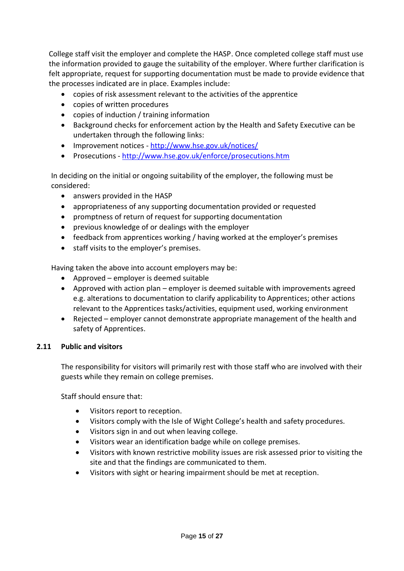College staff visit the employer and complete the HASP. Once completed college staff must use the information provided to gauge the suitability of the employer. Where further clarification is felt appropriate, request for supporting documentation must be made to provide evidence that the processes indicated are in place. Examples include:

- copies of risk assessment relevant to the activities of the apprentice
- copies of written procedures
- copies of induction / training information
- Background checks for enforcement action by the Health and Safety Executive can be undertaken through the following links:
- Improvement notices <http://www.hse.gov.uk/notices/>
- Prosecutions <http://www.hse.gov.uk/enforce/prosecutions.htm>

In deciding on the initial or ongoing suitability of the employer, the following must be considered:

- answers provided in the HASP
- appropriateness of any supporting documentation provided or requested
- promptness of return of request for supporting documentation
- previous knowledge of or dealings with the employer
- feedback from apprentices working / having worked at the employer's premises
- staff visits to the employer's premises.

Having taken the above into account employers may be:

- Approved employer is deemed suitable
- Approved with action plan employer is deemed suitable with improvements agreed e.g. alterations to documentation to clarify applicability to Apprentices; other actions relevant to the Apprentices tasks/activities, equipment used, working environment
- Rejected employer cannot demonstrate appropriate management of the health and safety of Apprentices.

# <span id="page-14-0"></span>**2.11 Public and visitors**

The responsibility for visitors will primarily rest with those staff who are involved with their guests while they remain on college premises.

Staff should ensure that:

- Visitors report to reception.
- Visitors comply with the Isle of Wight College's health and safety procedures.
- Visitors sign in and out when leaving college.
- Visitors wear an identification badge while on college premises.
- Visitors with known restrictive mobility issues are risk assessed prior to visiting the site and that the findings are communicated to them.
- Visitors with sight or hearing impairment should be met at reception.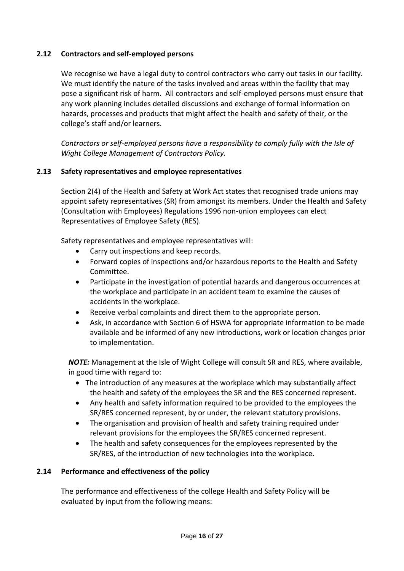# <span id="page-15-0"></span>**2.12 Contractors and self-employed persons**

We recognise we have a legal duty to control contractors who carry out tasks in our facility. We must identify the nature of the tasks involved and areas within the facility that may pose a significant risk of harm. All contractors and self-employed persons must ensure that any work planning includes detailed discussions and exchange of formal information on hazards, processes and products that might affect the health and safety of their, or the college's staff and/or learners.

*Contractors or self-employed persons have a responsibility to comply fully with the Isle of Wight College Management of Contractors Policy.*

# <span id="page-15-1"></span>**2.13 Safety representatives and employee representatives**

Section 2(4) of the Health and Safety at Work Act states that recognised trade unions may appoint safety representatives (SR) from amongst its members. Under the Health and Safety (Consultation with Employees) Regulations 1996 non-union employees can elect Representatives of Employee Safety (RES).

Safety representatives and employee representatives will:

- Carry out inspections and keep records.
- Forward copies of inspections and/or hazardous reports to the Health and Safety Committee.
- Participate in the investigation of potential hazards and dangerous occurrences at the workplace and participate in an accident team to examine the causes of accidents in the workplace.
- Receive verbal complaints and direct them to the appropriate person.
- Ask, in accordance with Section 6 of HSWA for appropriate information to be made available and be informed of any new introductions, work or location changes prior to implementation.

*NOTE:* Management at the Isle of Wight College will consult SR and RES, where available, in good time with regard to:

- The introduction of any measures at the workplace which may substantially affect the health and safety of the employees the SR and the RES concerned represent.
- Any health and safety information required to be provided to the employees the SR/RES concerned represent, by or under, the relevant statutory provisions.
- The organisation and provision of health and safety training required under relevant provisions for the employees the SR/RES concerned represent.
- The health and safety consequences for the employees represented by the SR/RES, of the introduction of new technologies into the workplace.

#### <span id="page-15-2"></span>**2.14 Performance and effectiveness of the policy**

The performance and effectiveness of the college Health and Safety Policy will be evaluated by input from the following means: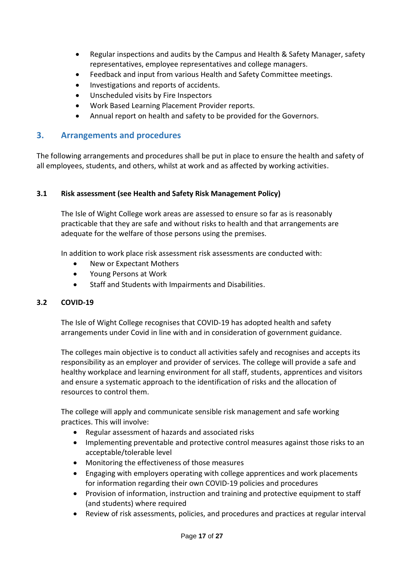- Regular inspections and audits by the Campus and Health & Safety Manager, safety representatives, employee representatives and college managers.
- Feedback and input from various Health and Safety Committee meetings.
- Investigations and reports of accidents.
- Unscheduled visits by Fire Inspectors
- Work Based Learning Placement Provider reports.
- Annual report on health and safety to be provided for the Governors.

# <span id="page-16-0"></span>**3. Arrangements and procedures**

The following arrangements and procedures shall be put in place to ensure the health and safety of all employees, students, and others, whilst at work and as affected by working activities.

#### <span id="page-16-1"></span>**3.1 Risk assessment (see Health and Safety Risk Management Policy)**

The Isle of Wight College work areas are assessed to ensure so far as is reasonably practicable that they are safe and without risks to health and that arrangements are adequate for the welfare of those persons using the premises.

In addition to work place risk assessment risk assessments are conducted with:

- New or Expectant Mothers
- Young Persons at Work
- Staff and Students with Impairments and Disabilities.

#### <span id="page-16-2"></span>**3.2 COVID-19**

The Isle of Wight College recognises that COVID-19 has adopted health and safety arrangements under Covid in line with and in consideration of government guidance.

The colleges main objective is to conduct all activities safely and recognises and accepts its responsibility as an employer and provider of services. The college will provide a safe and healthy workplace and learning environment for all staff, students, apprentices and visitors and ensure a systematic approach to the identification of risks and the allocation of resources to control them.

The college will apply and communicate sensible risk management and safe working practices. This will involve:

- Regular assessment of hazards and associated risks
- Implementing preventable and protective control measures against those risks to an acceptable/tolerable level
- Monitoring the effectiveness of those measures
- Engaging with employers operating with college apprentices and work placements for information regarding their own COVID-19 policies and procedures
- Provision of information, instruction and training and protective equipment to staff (and students) where required
- Review of risk assessments, policies, and procedures and practices at regular interval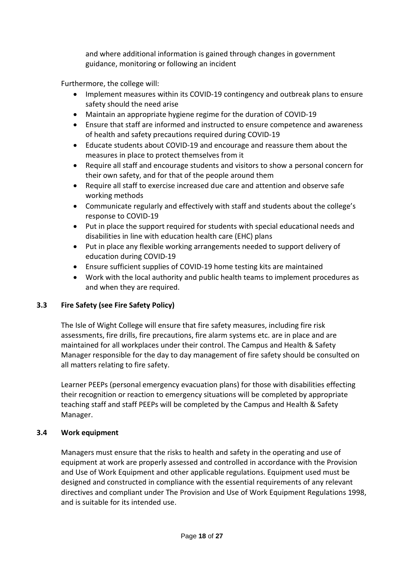and where additional information is gained through changes in government guidance, monitoring or following an incident

Furthermore, the college will:

- Implement measures within its COVID-19 contingency and outbreak plans to ensure safety should the need arise
- Maintain an appropriate hygiene regime for the duration of COVID-19
- Ensure that staff are informed and instructed to ensure competence and awareness of health and safety precautions required during COVID-19
- Educate students about COVID-19 and encourage and reassure them about the measures in place to protect themselves from it
- Require all staff and encourage students and visitors to show a personal concern for their own safety, and for that of the people around them
- Require all staff to exercise increased due care and attention and observe safe working methods
- Communicate regularly and effectively with staff and students about the college's response to COVID-19
- Put in place the support required for students with special educational needs and disabilities in line with education health care (EHC) plans
- Put in place any flexible working arrangements needed to support delivery of education during COVID-19
- Ensure sufficient supplies of COVID-19 home testing kits are maintained
- Work with the local authority and public health teams to implement procedures as and when they are required.

# <span id="page-17-0"></span>**3.3 Fire Safety (see Fire Safety Policy)**

The Isle of Wight College will ensure that fire safety measures, including fire risk assessments, fire drills, fire precautions, fire alarm systems etc. are in place and are maintained for all workplaces under their control. The Campus and Health & Safety Manager responsible for the day to day management of fire safety should be consulted on all matters relating to fire safety.

Learner PEEPs (personal emergency evacuation plans) for those with disabilities effecting their recognition or reaction to emergency situations will be completed by appropriate teaching staff and staff PEEPs will be completed by the Campus and Health & Safety Manager.

# <span id="page-17-1"></span>**3.4 Work equipment**

Managers must ensure that the risks to health and safety in the operating and use of equipment at work are properly assessed and controlled in accordance with the Provision and Use of Work Equipment and other applicable regulations. Equipment used must be designed and constructed in compliance with the essential requirements of any relevant directives and compliant under The Provision and Use of Work Equipment Regulations 1998, and is suitable for its intended use.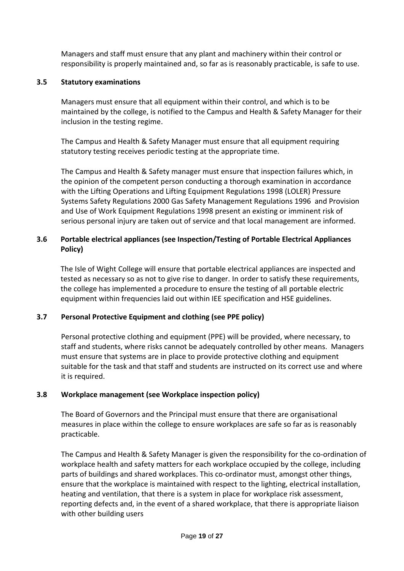Managers and staff must ensure that any plant and machinery within their control or responsibility is properly maintained and, so far as is reasonably practicable, is safe to use.

## <span id="page-18-0"></span>**3.5 Statutory examinations**

Managers must ensure that all equipment within their control, and which is to be maintained by the college, is notified to the Campus and Health & Safety Manager for their inclusion in the testing regime.

The Campus and Health & Safety Manager must ensure that all equipment requiring statutory testing receives periodic testing at the appropriate time.

The Campus and Health & Safety manager must ensure that inspection failures which, in the opinion of the competent person conducting a thorough examination in accordance with the Lifting Operations and Lifting Equipment Regulations 1998 (LOLER) Pressure Systems Safety Regulations 2000 Gas Safety Management Regulations 1996 and Provision and Use of Work Equipment Regulations 1998 present an existing or imminent risk of serious personal injury are taken out of service and that local management are informed.

# <span id="page-18-1"></span>**3.6 Portable electrical appliances (see Inspection/Testing of Portable Electrical Appliances Policy)**

The Isle of Wight College will ensure that portable electrical appliances are inspected and tested as necessary so as not to give rise to danger. In order to satisfy these requirements, the college has implemented a procedure to ensure the testing of all portable electric equipment within frequencies laid out within IEE specification and HSE guidelines.

# <span id="page-18-2"></span>**3.7 Personal Protective Equipment and clothing (see PPE policy)**

Personal protective clothing and equipment (PPE) will be provided, where necessary, to staff and students, where risks cannot be adequately controlled by other means. Managers must ensure that systems are in place to provide protective clothing and equipment suitable for the task and that staff and students are instructed on its correct use and where it is required.

# <span id="page-18-3"></span>**3.8 Workplace management (see Workplace inspection policy)**

The Board of Governors and the Principal must ensure that there are organisational measures in place within the college to ensure workplaces are safe so far as is reasonably practicable.

The Campus and Health & Safety Manager is given the responsibility for the co-ordination of workplace health and safety matters for each workplace occupied by the college, including parts of buildings and shared workplaces. This co-ordinator must, amongst other things, ensure that the workplace is maintained with respect to the lighting, electrical installation, heating and ventilation, that there is a system in place for workplace risk assessment, reporting defects and, in the event of a shared workplace, that there is appropriate liaison with other building users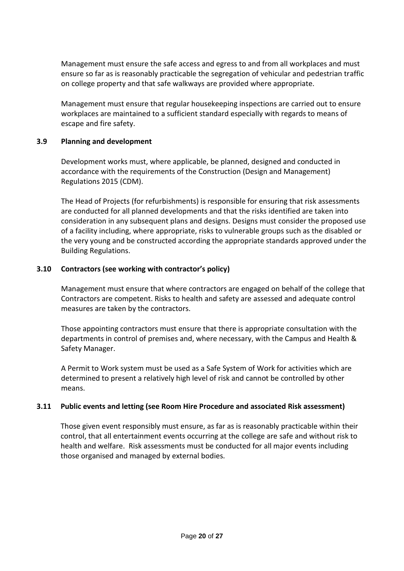Management must ensure the safe access and egress to and from all workplaces and must ensure so far as is reasonably practicable the segregation of vehicular and pedestrian traffic on college property and that safe walkways are provided where appropriate.

Management must ensure that regular housekeeping inspections are carried out to ensure workplaces are maintained to a sufficient standard especially with regards to means of escape and fire safety.

#### <span id="page-19-0"></span>**3.9 Planning and development**

Development works must, where applicable, be planned, designed and conducted in accordance with the requirements of the Construction (Design and Management) Regulations 2015 (CDM).

The Head of Projects (for refurbishments) is responsible for ensuring that risk assessments are conducted for all planned developments and that the risks identified are taken into consideration in any subsequent plans and designs. Designs must consider the proposed use of a facility including, where appropriate, risks to vulnerable groups such as the disabled or the very young and be constructed according the appropriate standards approved under the Building Regulations.

#### <span id="page-19-1"></span>**3.10 Contractors (see working with contractor's policy)**

Management must ensure that where contractors are engaged on behalf of the college that Contractors are competent. Risks to health and safety are assessed and adequate control measures are taken by the contractors.

Those appointing contractors must ensure that there is appropriate consultation with the departments in control of premises and, where necessary, with the Campus and Health & Safety Manager.

A Permit to Work system must be used as a Safe System of Work for activities which are determined to present a relatively high level of risk and cannot be controlled by other means.

#### <span id="page-19-2"></span>**3.11 Public events and letting (see Room Hire Procedure and associated Risk assessment)**

Those given event responsibly must ensure, as far as is reasonably practicable within their control, that all entertainment events occurring at the college are safe and without risk to health and welfare. Risk assessments must be conducted for all major events including those organised and managed by external bodies.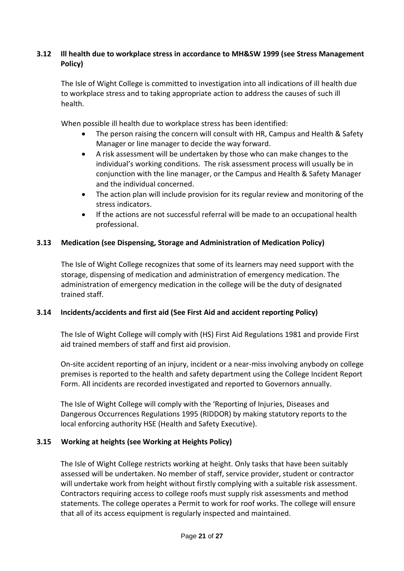# <span id="page-20-0"></span>**3.12 Ill health due to workplace stress in accordance to MH&SW 1999 (see Stress Management Policy)**

The Isle of Wight College is committed to investigation into all indications of ill health due to workplace stress and to taking appropriate action to address the causes of such ill health.

When possible ill health due to workplace stress has been identified:

- The person raising the concern will consult with HR, Campus and Health & Safety Manager or line manager to decide the way forward.
- A risk assessment will be undertaken by those who can make changes to the individual's working conditions. The risk assessment process will usually be in conjunction with the line manager, or the Campus and Health & Safety Manager and the individual concerned.
- The action plan will include provision for its regular review and monitoring of the stress indicators.
- If the actions are not successful referral will be made to an occupational health professional.

# <span id="page-20-1"></span>**3.13 Medication (see Dispensing, Storage and Administration of Medication Policy)**

The Isle of Wight College recognizes that some of its learners may need support with the storage, dispensing of medication and administration of emergency medication. The administration of emergency medication in the college will be the duty of designated trained staff.

#### <span id="page-20-2"></span>**3.14 Incidents/accidents and first aid (See First Aid and accident reporting Policy)**

The Isle of Wight College will comply with (HS) First Aid Regulations 1981 and provide First aid trained members of staff and first aid provision.

On-site accident reporting of an injury, incident or a near-miss involving anybody on college premises is reported to the health and safety department using the College Incident Report Form. All incidents are recorded investigated and reported to Governors annually.

The Isle of Wight College will comply with the 'Reporting of Injuries, Diseases and Dangerous Occurrences Regulations 1995 (RIDDOR) by making statutory reports to the local enforcing authority HSE (Health and Safety Executive).

# <span id="page-20-3"></span>**3.15 Working at heights (see Working at Heights Policy)**

The Isle of Wight College restricts working at height. Only tasks that have been suitably assessed will be undertaken. No member of staff, service provider, student or contractor will undertake work from height without firstly complying with a suitable risk assessment. Contractors requiring access to college roofs must supply risk assessments and method statements. The college operates a Permit to work for roof works. The college will ensure that all of its access equipment is regularly inspected and maintained.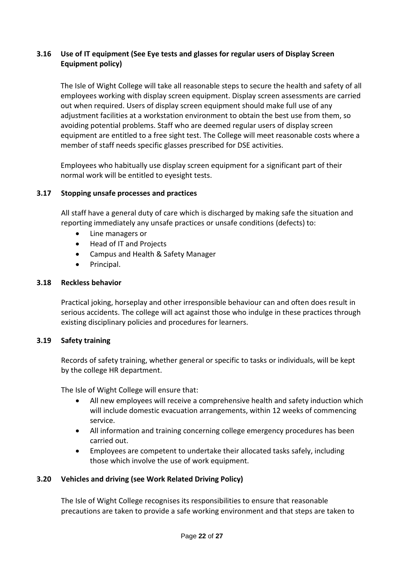# <span id="page-21-0"></span>**3.16 Use of IT equipment (See Eye tests and glasses for regular users of Display Screen Equipment policy)**

The Isle of Wight College will take all reasonable steps to secure the health and safety of all employees working with display screen equipment. Display screen assessments are carried out when required. Users of display screen equipment should make full use of any adjustment facilities at a workstation environment to obtain the best use from them, so avoiding potential problems. Staff who are deemed regular users of display screen equipment are entitled to a free sight test. The College will meet reasonable costs where a member of staff needs specific glasses prescribed for DSE activities.

Employees who habitually use display screen equipment for a significant part of their normal work will be entitled to eyesight tests.

# <span id="page-21-1"></span>**3.17 Stopping unsafe processes and practices**

All staff have a general duty of care which is discharged by making safe the situation and reporting immediately any unsafe practices or unsafe conditions (defects) to:

- Line managers or
- Head of IT and Projects
- Campus and Health & Safety Manager
- Principal.

#### <span id="page-21-2"></span>**3.18 Reckless behavior**

Practical joking, horseplay and other irresponsible behaviour can and often does result in serious accidents. The college will act against those who indulge in these practices through existing disciplinary policies and procedures for learners.

#### <span id="page-21-3"></span>**3.19 Safety training**

Records of safety training, whether general or specific to tasks or individuals, will be kept by the college HR department.

The Isle of Wight College will ensure that:

- All new employees will receive a comprehensive health and safety induction which will include domestic evacuation arrangements, within 12 weeks of commencing service.
- All information and training concerning college emergency procedures has been carried out.
- Employees are competent to undertake their allocated tasks safely, including those which involve the use of work equipment.

#### <span id="page-21-4"></span>**3.20 Vehicles and driving (see Work Related Driving Policy)**

The Isle of Wight College recognises its responsibilities to ensure that reasonable precautions are taken to provide a safe working environment and that steps are taken to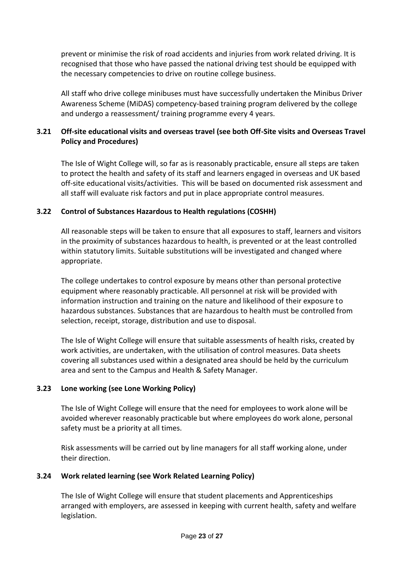prevent or minimise the risk of road accidents and injuries from work related driving. It is recognised that those who have passed the national driving test should be equipped with the necessary competencies to drive on routine college business.

All staff who drive college minibuses must have successfully undertaken the Minibus Driver Awareness Scheme (MiDAS) competency-based training program delivered by the college and undergo a reassessment/ training programme every 4 years.

# <span id="page-22-0"></span>**3.21 Off-site educational visits and overseas travel (see both Off-Site visits and Overseas Travel Policy and Procedures)**

The Isle of Wight College will, so far as is reasonably practicable, ensure all steps are taken to protect the health and safety of its staff and learners engaged in overseas and UK based off-site educational visits/activities. This will be based on documented risk assessment and all staff will evaluate risk factors and put in place appropriate control measures.

# <span id="page-22-1"></span>**3.22 Control of Substances Hazardous to Health regulations (COSHH)**

All reasonable steps will be taken to ensure that all exposures to staff, learners and visitors in the proximity of substances hazardous to health, is prevented or at the least controlled within statutory limits. Suitable substitutions will be investigated and changed where appropriate.

The college undertakes to control exposure by means other than personal protective equipment where reasonably practicable. All personnel at risk will be provided with information instruction and training on the nature and likelihood of their exposure to hazardous substances. Substances that are hazardous to health must be controlled from selection, receipt, storage, distribution and use to disposal.

The Isle of Wight College will ensure that suitable assessments of health risks, created by work activities, are undertaken, with the utilisation of control measures. Data sheets covering all substances used within a designated area should be held by the curriculum area and sent to the Campus and Health & Safety Manager.

# <span id="page-22-2"></span>**3.23 Lone working (see Lone Working Policy)**

The Isle of Wight College will ensure that the need for employees to work alone will be avoided wherever reasonably practicable but where employees do work alone, personal safety must be a priority at all times.

Risk assessments will be carried out by line managers for all staff working alone, under their direction.

# <span id="page-22-3"></span>**3.24 Work related learning (see Work Related Learning Policy)**

The Isle of Wight College will ensure that student placements and Apprenticeships arranged with employers, are assessed in keeping with current health, safety and welfare legislation.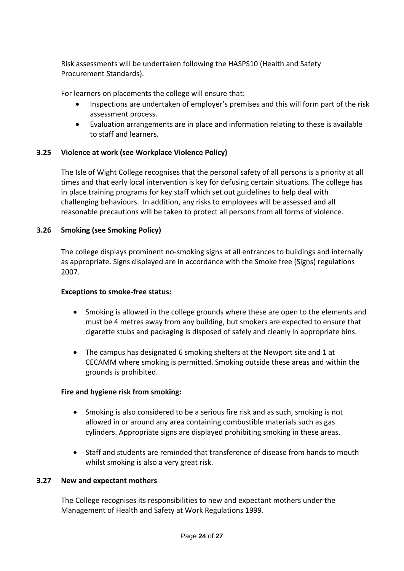Risk assessments will be undertaken following the HASPS10 (Health and Safety Procurement Standards).

For learners on placements the college will ensure that:

- Inspections are undertaken of employer's premises and this will form part of the risk assessment process.
- Evaluation arrangements are in place and information relating to these is available to staff and learners.

# <span id="page-23-0"></span>**3.25 Violence at work (see Workplace Violence Policy)**

The Isle of Wight College recognises that the personal safety of all persons is a priority at all times and that early local intervention is key for defusing certain situations. The college has in place training programs for key staff which set out guidelines to help deal with challenging behaviours. In addition, any risks to employees will be assessed and all reasonable precautions will be taken to protect all persons from all forms of violence.

#### <span id="page-23-1"></span>**3.26 Smoking (see Smoking Policy)**

The college displays prominent no-smoking signs at all entrances to buildings and internally as appropriate. Signs displayed are in accordance with the Smoke free (Signs) regulations 2007.

#### **Exceptions to smoke-free status:**

- Smoking is allowed in the college grounds where these are open to the elements and must be 4 metres away from any building, but smokers are expected to ensure that cigarette stubs and packaging is disposed of safely and cleanly in appropriate bins.
- The campus has designated 6 smoking shelters at the Newport site and 1 at CECAMM where smoking is permitted. Smoking outside these areas and within the grounds is prohibited.

#### **Fire and hygiene risk from smoking:**

- Smoking is also considered to be a serious fire risk and as such, smoking is not allowed in or around any area containing combustible materials such as gas cylinders. Appropriate signs are displayed prohibiting smoking in these areas.
- Staff and students are reminded that transference of disease from hands to mouth whilst smoking is also a very great risk.

#### <span id="page-23-2"></span>**3.27 New and expectant mothers**

The College recognises its responsibilities to new and expectant mothers under the Management of Health and Safety at Work Regulations 1999.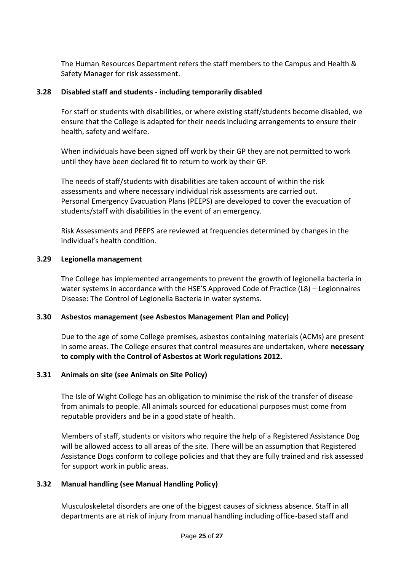The Human Resources Department refers the staff members to the Campus and Health & Safety Manager for risk assessment.

## <span id="page-24-0"></span>**3.28 Disabled staff and students - including temporarily disabled**

For staff or students with disabilities, or where existing staff/students become disabled, we ensure that the College is adapted for their needs including arrangements to ensure their health, safety and welfare.

When individuals have been signed off work by their GP they are not permitted to work until they have been declared fit to return to work by their GP.

The needs of staff/students with disabilities are taken account of within the risk assessments and where necessary individual risk assessments are carried out. Personal Emergency Evacuation Plans (PEEPS) are developed to cover the evacuation of students/staff with disabilities in the event of an emergency.

Risk Assessments and PEEPS are reviewed at frequencies determined by changes in the individual's health condition.

#### <span id="page-24-1"></span>**3.29 Legionella management**

The College has implemented arrangements to prevent the growth of legionella bacteria in water systems in accordance with the HSE'S Approved Code of Practice (L8) – Legionnaires Disease: The Control of Legionella Bacteria in water systems.

#### <span id="page-24-2"></span>**3.30 Asbestos management (see Asbestos Management Plan and Policy)**

Due to the age of some College premises, asbestos containing materials (ACMs) are present in some areas. The College ensures that control measures are undertaken, where **necessary to comply with the Control of Asbestos at Work regulations 2012.**

#### <span id="page-24-3"></span>**3.31 Animals on site (see Animals on Site Policy)**

The Isle of Wight College has an obligation to minimise the risk of the transfer of disease from animals to people. All animals sourced for educational purposes must come from reputable providers and be in a good state of health.

Members of staff, students or visitors who require the help of a Registered Assistance Dog will be allowed access to all areas of the site. There will be an assumption that Registered Assistance Dogs conform to college policies and that they are fully trained and risk assessed for support work in public areas.

# <span id="page-24-4"></span>**3.32 Manual handling (see Manual Handling Policy)**

Musculoskeletal disorders are one of the biggest causes of sickness absence. Staff in all departments are at risk of injury from manual handling including office-based staff and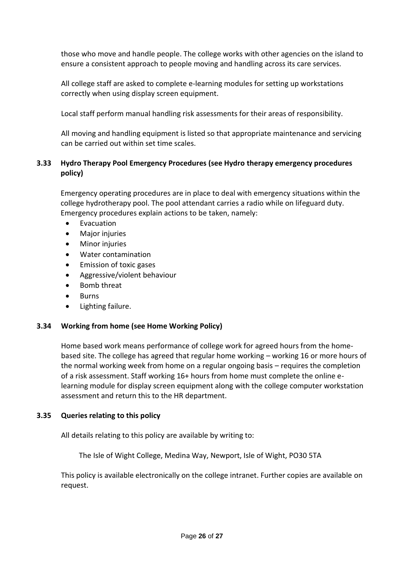those who move and handle people. The college works with other agencies on the island to ensure a consistent approach to people moving and handling across its care services.

All college staff are asked to complete e-learning modules for setting up workstations correctly when using display screen equipment.

Local staff perform manual handling risk assessments for their areas of responsibility.

All moving and handling equipment is listed so that appropriate maintenance and servicing can be carried out within set time scales.

# **3.33 Hydro Therapy Pool Emergency Procedures (see Hydro therapy emergency procedures policy)**

Emergency operating procedures are in place to deal with emergency situations within the college hydrotherapy pool. The pool attendant carries a radio while on lifeguard duty. Emergency procedures explain actions to be taken, namely:

- Evacuation
- Major injuries
- **Minor injuries**
- Water contamination
- Emission of toxic gases
- Aggressive/violent behaviour
- Bomb threat
- **Burns**
- Lighting failure.

#### **3.34 Working from home (see Home Working Policy)**

Home based work means performance of college work for agreed hours from the homebased site. The college has agreed that regular home working – working 16 or more hours of the normal working week from home on a regular ongoing basis – requires the completion of a risk assessment. Staff working 16+ hours from home must complete the online elearning module for display screen equipment along with the college computer workstation assessment and return this to the HR department.

#### **3.35 Queries relating to this policy**

All details relating to this policy are available by writing to:

The Isle of Wight College, Medina Way, Newport, Isle of Wight, PO30 5TA

This policy is available electronically on the college intranet. Further copies are available on request.